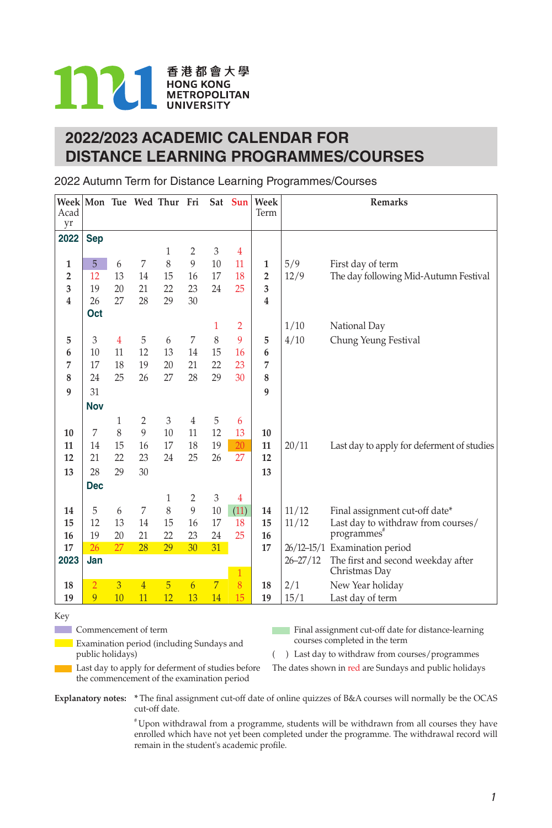

# **2022/2023 ACADEMIC CALENDAR FOR DISTANCE LEARNING PROGRAMMES/COURSES**

2022 Autumn Term for Distance Learning Programmes/Courses

|                |                |    |                | Week Mon Tue Wed Thur Fri |                 |                 | Sat Sun        | Week           |              | <b>Remarks</b>                                      |
|----------------|----------------|----|----------------|---------------------------|-----------------|-----------------|----------------|----------------|--------------|-----------------------------------------------------|
| Acad<br>yr     |                |    |                |                           |                 |                 |                | Term           |              |                                                     |
| 2022           | <b>Sep</b>     |    |                |                           |                 |                 |                |                |              |                                                     |
|                |                |    |                | 1                         | 2               | 3               | 4              |                |              |                                                     |
| 1              | 5              | 6  | 7              | 8                         | 9               | 10              | 11             | 1              | 5/9          | First day of term                                   |
| $\overline{2}$ | 12             | 13 | 14             | 15                        | 16              | 17              | 18             | $\overline{2}$ | 12/9         | The day following Mid-Autumn Festival               |
| 3              | 19             | 20 | 21             | 22                        | 23              | 24              | 25             | 3              |              |                                                     |
| 4              | 26             | 27 | 28             | 29                        | 30              |                 |                | 4              |              |                                                     |
|                | Oct            |    |                |                           |                 |                 |                |                |              |                                                     |
|                |                |    |                |                           |                 | 1               | $\overline{2}$ |                | 1/10         | National Day                                        |
| 5              | 3              | 4  | 5              | 6                         | 7               | 8               | 9              | 5              | 4/10         | Chung Yeung Festival                                |
| 6              | 10             | 11 | 12             | 13                        | 14              | 15              | 16             | 6              |              |                                                     |
| 7              | 17             | 18 | 19             | 20                        | 21              | 22              | 23             | 7              |              |                                                     |
| 8              | 24             | 25 | 26             | 27                        | 28              | 29              | 30             | 8              |              |                                                     |
| 9              | 31             |    |                |                           |                 |                 |                | 9              |              |                                                     |
|                | <b>Nov</b>     |    |                |                           |                 |                 |                |                |              |                                                     |
|                |                | 1  | $\overline{2}$ | 3                         | $\overline{4}$  | 5               | 6              |                |              |                                                     |
| 10             | 7              | 8  | 9              | 10                        | 11              | 12              | 13             | 10             |              |                                                     |
| 11             | 14             | 15 | 16             | 17                        | 18              | 19              | 20             | 11             | 20/11        | Last day to apply for deferment of studies          |
| 12             | 21             | 22 | 23             | 24                        | 25              | 26              | 27             | 12             |              |                                                     |
| 13             | 28             | 29 | 30             |                           |                 |                 |                | 13             |              |                                                     |
|                | <b>Dec</b>     |    |                |                           |                 |                 |                |                |              |                                                     |
|                |                |    |                | 1                         | $\overline{2}$  | 3               | 4              |                |              |                                                     |
| 14             | 5              | 6  | 7              | 8                         | 9               | 10              | (11)           | 14             | 11/12        | Final assignment cut-off date*                      |
| 15             | 12             | 13 | 14             | 15                        | 16              | 17              | 18             | 15             | 11/12        | Last day to withdraw from courses/                  |
| 16             | 19             | 20 | 21             | 22                        | 23              | 24              | 25             | 16             |              | programmes"                                         |
| 17             | 26             | 27 | 28             | 29                        | 30              | 31 <sup>2</sup> |                | 17             |              | 26/12-15/1 Examination period                       |
| 2023           | Jan            |    |                |                           |                 |                 | 1              |                | $26 - 27/12$ | The first and second weekday after<br>Christmas Day |
| 18             | $\overline{2}$ | 3  | $\overline{4}$ | 5                         | $6\overline{6}$ | $\overline{7}$  | 8              | 18             | 2/1          | New Year holiday                                    |
| 19             | 9              | 10 | 11             | 12                        | 13              | 14              | 15             | 19             | 15/1         | Last day of term                                    |

#### Key

**Commencement of term** 

**Examination period (including Sundays and** public holidays)

Final assignment cut-off date for distance-learning courses completed in the term

( ) Last day to withdraw from courses/programmes

**Last day to apply for deferment of studies before** the commencement of the examination period

The dates shown in red are Sundays and public holidays

**Explanatory notes: \*** The final assignment cut-off date of online quizzes of B&A courses will normally be the OCAS cut-off date.

> # Upon withdrawal from a programme, students will be withdrawn from all courses they have enrolled which have not yet been completed under the programme. The withdrawal record will remain in the student's academic profile.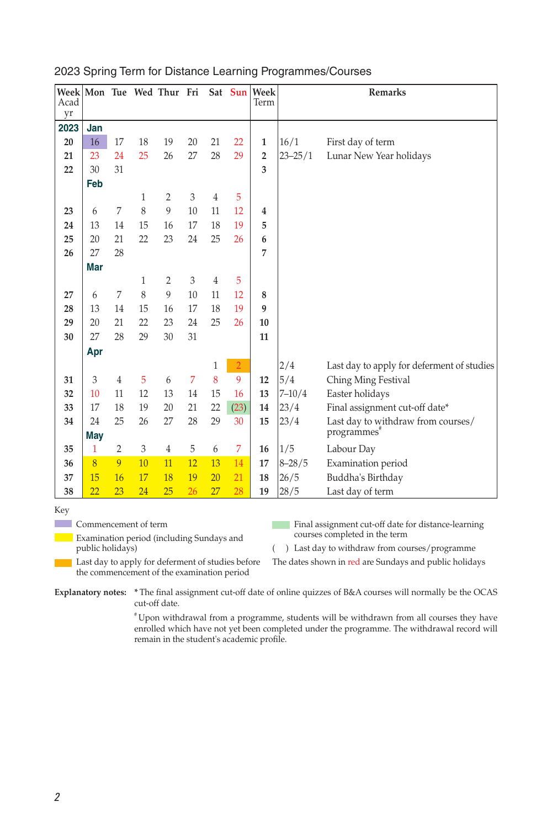| Week Mon Tue Wed Thur Fri<br>Acad |     |                |    |                |    |                | Sat Sun        | Week<br>Term |             | Remarks                                    |
|-----------------------------------|-----|----------------|----|----------------|----|----------------|----------------|--------------|-------------|--------------------------------------------|
| yr                                |     |                |    |                |    |                |                |              |             |                                            |
| 2023                              | Jan |                |    |                |    |                |                |              |             |                                            |
| 20                                | 16  | 17             | 18 | 19             | 20 | 21             | 22             | 1            | 16/1        | First day of term                          |
| 21                                | 23  | 24             | 25 | 26             | 27 | 28             | 29             | 2            | $23 - 25/1$ | Lunar New Year holidays                    |
| 22                                | 30  | 31             |    |                |    |                |                | 3            |             |                                            |
|                                   | Feb |                |    |                |    |                |                |              |             |                                            |
|                                   |     |                | 1  | $\overline{2}$ | 3  | $\overline{4}$ | 5              |              |             |                                            |
| 23                                | 6   | 7              | 8  | 9              | 10 | 11             | 12             | 4            |             |                                            |
| 24                                | 13  | 14             | 15 | 16             | 17 | 18             | 19             | 5            |             |                                            |
| 25                                | 20  | 21             | 22 | 23             | 24 | 25             | 26             | 6            |             |                                            |
| 26                                | 27  | 28             |    |                |    |                |                | 7            |             |                                            |
|                                   | Mar |                |    |                |    |                |                |              |             |                                            |
|                                   |     |                | 1  | 2              | 3  | $\overline{4}$ | 5              |              |             |                                            |
| 27                                | 6   | 7              | 8  | 9              | 10 | 11             | 12             | 8            |             |                                            |
| 28                                | 13  | 14             | 15 | 16             | 17 | 18             | 19             | 9            |             |                                            |
| 29                                | 20  | 21             | 22 | 23             | 24 | 25             | 26             | 10           |             |                                            |
| 30                                | 27  | 28             | 29 | 30             | 31 |                |                | 11           |             |                                            |
|                                   | Apr |                |    |                |    |                |                |              |             |                                            |
|                                   |     |                |    |                |    | 1              | $\overline{2}$ |              | 2/4         | Last day to apply for deferment of studies |
| 31                                | 3   | $\overline{4}$ | 5  | 6              | 7  | 8              | 9              | 12           | 5/4         | Ching Ming Festival                        |
| 32                                | 10  | 11             | 12 | 13             | 14 | 15             | 16             | 13           | $7 - 10/4$  | Easter holidays                            |
| 33                                | 17  | 18             | 19 | 20             | 21 | 22             | (23)           | 14           | 23/4        | Final assignment cut-off date*             |
| 34                                | 24  | 25             | 26 | 27             | 28 | 29             | 30             | 15           | 23/4        | Last day to withdraw from courses/         |
|                                   | May |                |    |                |    |                |                |              |             | programmes"                                |
| 35                                | 1   | $\overline{2}$ | 3  | 4              | 5  | 6              | 7              | 16           | 1/5         | Labour Day                                 |
| 36                                | 8   | 9              | 10 | 11             | 12 | 13             | 14             | 17           | $8 - 28/5$  | Examination period                         |
| 37                                | 15  | 16             | 17 | 18             | 19 | 20             | 21             | 18           | 26/5        | Buddha's Birthday                          |
| 38                                | 22  | 23             | 24 | 25             | 26 | 27             | 28             | 19           | 28/5        | Last day of term                           |

## 2023 Spring Term for Distance Learning Programmes/Courses

Key

П

**Commencement of term** 

**Examination period (including Sundays and** public holidays)

Final assignment cut-off date for distance-learning courses completed in the term

( ) Last day to withdraw from courses/programme

Last day to apply for deferment of studies before the commencement of the examination period

The dates shown in red are Sundays and public holidays

**Explanatory notes: \*** The final assignment cut-off date of online quizzes of B&A courses will normally be the OCAS cut-off date.

> # Upon withdrawal from a programme, students will be withdrawn from all courses they have enrolled which have not yet been completed under the programme. The withdrawal record will remain in the student's academic profile.